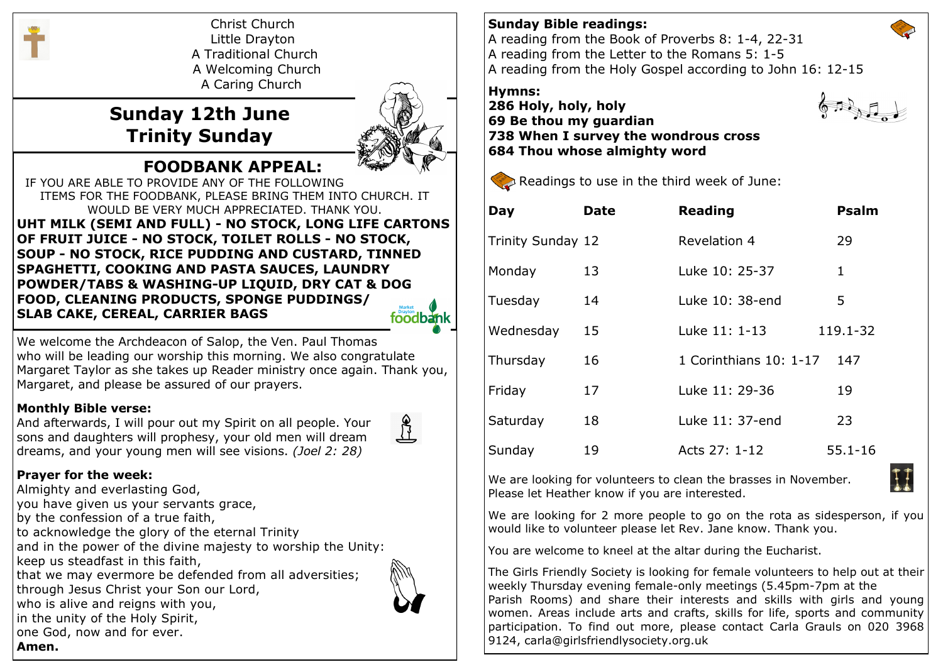

Christ Church Little Drayton A Traditional Church A Welcoming Church A Caring Church

# **Sunday 12th June Trinity Sunday**



IF YOU ARE ABLE TO PROVIDE ANY OF THE FOLLOWING ITEMS FOR THE FOODBANK, PLEASE BRING THEM INTO CHURCH. IT WOULD BE VERY MUCH APPRECIATED. THANK YOU. **UHT MILK (SEMI AND FULL) - NO STOCK, LONG LIFE CARTONS OF FRUIT JUICE - NO STOCK, TOILET ROLLS - NO STOCK, SOUP - NO STOCK, RICE PUDDING AND CUSTARD, TINNED SPAGHETTI, COOKING AND PASTA SAUCES, LAUNDRY POWDER/TABS & WASHING-UP LIQUID, DRY CAT & DOG FOOD, CLEANING PRODUCTS, SPONGE PUDDINGS/ SLAB CAKE, CEREAL, CARRIER BAGS** foodbank

 **FOODBANK APPEAL:**

We welcome the Archdeacon of Salop, the Ven. Paul Thomas who will be leading our worship this morning. We also congratulate Margaret Taylor as she takes up Reader ministry once again. Thank you, Margaret, and please be assured of our prayers.

#### **Monthly Bible verse:**

And afterwards, I will pour out my Spirit on all people. Your sons and daughters will prophesy, your old men will dream dreams, and your young men will see visions. *(Joel 2: 28)*



## **Prayer for the week:**

Almighty and everlasting God, you have given us your servants grace, by the confession of a true faith, to acknowledge the glory of the eternal Trinity and in the power of the divine majesty to worship the Unity: keep us steadfast in this faith, that we may evermore be defended from all adversities; through Jesus Christ your Son our Lord, who is alive and reigns with you, in the unity of the Holy Spirit, one God, now and for ever. **Amen.**



## **Sunday Bible readings:**

A reading from the Book of Proverbs 8: 1-4, 22-31 A reading from the Letter to the Romans 5: 1-5 A reading from the Holy Gospel according to John 16: 12-15

## **Hymns:**

**286 Holy, holy, holy 69 Be thou my guardian 738 When I survey the wondrous cross 684 Thou whose almighty word**



Readings to use in the third week of June:

| Day               | Date | <b>Reading</b>         | <b>Psalm</b> |
|-------------------|------|------------------------|--------------|
| Trinity Sunday 12 |      | Revelation 4           | 29           |
| Monday            | 13   | Luke 10: 25-37         | 1            |
| Tuesday           | 14   | Luke 10: 38-end        | 5            |
| Wednesday         | 15   | Luke 11: 1-13          | 119.1-32     |
| Thursday          | 16   | 1 Corinthians 10: 1-17 | 147          |
| Friday            | 17   | Luke 11: 29-36         | 19           |
| Saturday          | 18   | Luke 11: 37-end        | 23           |
| Sunday            | 19   | Acts 27: 1-12          | 55.1-16      |

We are looking for volunteers to clean the brasses in November. Please let Heather know if you are interested.

We are looking for 2 more people to go on the rota as sidesperson, if you would like to volunteer please let Rev. Jane know. Thank you.

You are welcome to kneel at the altar during the Eucharist.

The Girls Friendly Society is looking for female volunteers to help out at their weekly Thursday evening female-only meetings (5.45pm-7pm at the Parish Rooms) and share their interests and skills with girls and young women. Areas include arts and crafts, skills for life, sports and community participation. To find out more, please contact Carla Grauls on 020 3968 9124, carla@girlsfriendlysociety.org.uk